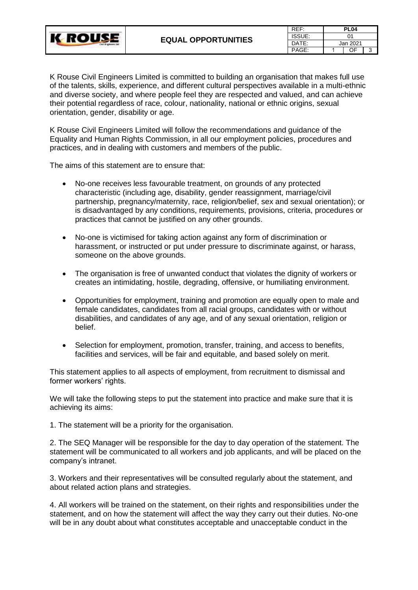

| REF:   | <b>PL04</b>    |    |   |  |
|--------|----------------|----|---|--|
| ISSUE: | 01<br>Jan 2021 |    |   |  |
| DATE:  |                |    |   |  |
| PAGE:  |                | ΩE | 3 |  |

K Rouse Civil Engineers Limited is committed to building an organisation that makes full use of the talents, skills, experience, and different cultural perspectives available in a multi-ethnic and diverse society, and where people feel they are respected and valued, and can achieve their potential regardless of race, colour, nationality, national or ethnic origins, sexual orientation, gender, disability or age.

K Rouse Civil Engineers Limited will follow the recommendations and guidance of the Equality and Human Rights Commission, in all our employment policies, procedures and practices, and in dealing with customers and members of the public.

The aims of this statement are to ensure that:

**K ROUSE** 

- No-one receives less favourable treatment, on grounds of any protected characteristic (including age, disability, gender reassignment, marriage/civil partnership, pregnancy/maternity, race, religion/belief, sex and sexual orientation); or is disadvantaged by any conditions, requirements, provisions, criteria, procedures or practices that cannot be justified on any other grounds.
- No-one is victimised for taking action against any form of discrimination or harassment, or instructed or put under pressure to discriminate against, or harass, someone on the above grounds.
- The organisation is free of unwanted conduct that violates the dignity of workers or creates an intimidating, hostile, degrading, offensive, or humiliating environment.
- Opportunities for employment, training and promotion are equally open to male and female candidates, candidates from all racial groups, candidates with or without disabilities, and candidates of any age, and of any sexual orientation, religion or belief.
- Selection for employment, promotion, transfer, training, and access to benefits, facilities and services, will be fair and equitable, and based solely on merit.

This statement applies to all aspects of employment, from recruitment to dismissal and former workers' rights.

We will take the following steps to put the statement into practice and make sure that it is achieving its aims:

1. The statement will be a priority for the organisation.

2. The SEQ Manager will be responsible for the day to day operation of the statement. The statement will be communicated to all workers and job applicants, and will be placed on the company's intranet.

3. Workers and their representatives will be consulted regularly about the statement, and about related action plans and strategies.

4. All workers will be trained on the statement, on their rights and responsibilities under the statement, and on how the statement will affect the way they carry out their duties. No-one will be in any doubt about what constitutes acceptable and unacceptable conduct in the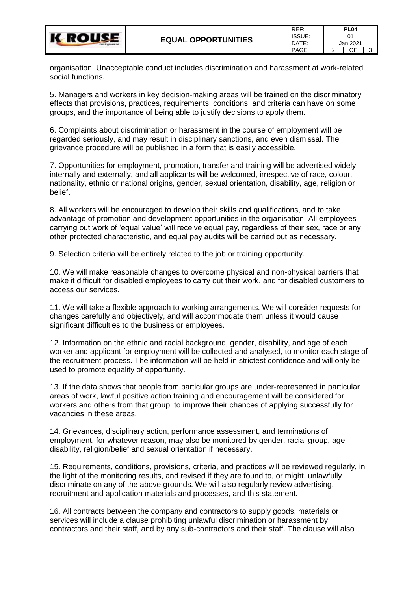

organisation. Unacceptable conduct includes discrimination and harassment at work-related social functions.

5. Managers and workers in key decision-making areas will be trained on the discriminatory effects that provisions, practices, requirements, conditions, and criteria can have on some groups, and the importance of being able to justify decisions to apply them.

6. Complaints about discrimination or harassment in the course of employment will be regarded seriously, and may result in disciplinary sanctions, and even dismissal. The grievance procedure will be published in a form that is easily accessible.

7. Opportunities for employment, promotion, transfer and training will be advertised widely, internally and externally, and all applicants will be welcomed, irrespective of race, colour, nationality, ethnic or national origins, gender, sexual orientation, disability, age, religion or belief.

8. All workers will be encouraged to develop their skills and qualifications, and to take advantage of promotion and development opportunities in the organisation. All employees carrying out work of 'equal value' will receive equal pay, regardless of their sex, race or any other protected characteristic, and equal pay audits will be carried out as necessary.

9. Selection criteria will be entirely related to the job or training opportunity.

10. We will make reasonable changes to overcome physical and non-physical barriers that make it difficult for disabled employees to carry out their work, and for disabled customers to access our services.

11. We will take a flexible approach to working arrangements. We will consider requests for changes carefully and objectively, and will accommodate them unless it would cause significant difficulties to the business or employees.

12. Information on the ethnic and racial background, gender, disability, and age of each worker and applicant for employment will be collected and analysed, to monitor each stage of the recruitment process. The information will be held in strictest confidence and will only be used to promote equality of opportunity.

13. If the data shows that people from particular groups are under-represented in particular areas of work, lawful positive action training and encouragement will be considered for workers and others from that group, to improve their chances of applying successfully for vacancies in these areas.

14. Grievances, disciplinary action, performance assessment, and terminations of employment, for whatever reason, may also be monitored by gender, racial group, age, disability, religion/belief and sexual orientation if necessary.

15. Requirements, conditions, provisions, criteria, and practices will be reviewed regularly, in the light of the monitoring results, and revised if they are found to, or might, unlawfully discriminate on any of the above grounds. We will also regularly review advertising, recruitment and application materials and processes, and this statement.

16. All contracts between the company and contractors to supply goods, materials or services will include a clause prohibiting unlawful discrimination or harassment by contractors and their staff, and by any sub-contractors and their staff. The clause will also